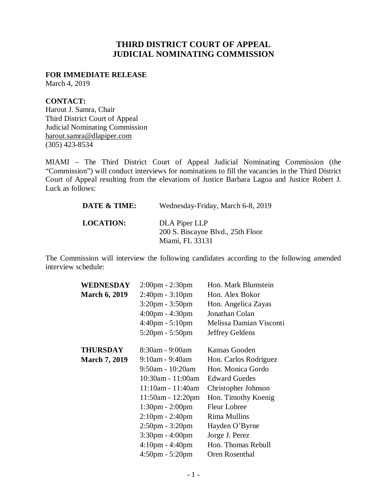# **THIRD DISTRICT COURT OF APPEAL JUDICIAL NOMINATING COMMISSION**

## **FOR IMMEDIATE RELEASE**

March 4, 2019

## **CONTACT:**

Harout J. Samra, Chair Third District Court of Appeal Judicial Nominating Commission harout.samra@dlapiper.com (305) 423-8534

MIAMI – The Third District Court of Appeal Judicial Nominating Commission (the "Commission") will conduct interviews for nominations to fill the vacancies in the Third District Court of Appeal resulting from the elevations of Justice Barbara Lagoa and Justice Robert J. Luck as follows:

| DATE & TIME:     | Wednesday-Friday, March 6-8, 2019                                     |
|------------------|-----------------------------------------------------------------------|
| <b>LOCATION:</b> | DLA Piper LLP<br>200 S. Biscayne Blvd., 25th Floor<br>Miami, FL 33131 |

The Commission will interview the following candidates according to the following amended interview schedule:

| WEDNESDAY            | $2:00 \text{pm} - 2:30 \text{pm}$ | Hon. Mark Blumstein     |
|----------------------|-----------------------------------|-------------------------|
| <b>March 6, 2019</b> | $2:40$ pm - $3:10$ pm             | Hon. Alex Bokor         |
|                      | $3:20 \text{pm} - 3:50 \text{pm}$ | Hon. Angelica Zayas     |
|                      | $4:00 \text{pm} - 4:30 \text{pm}$ | Jonathan Colan          |
|                      | $4:40 \text{pm} - 5:10 \text{pm}$ | Melissa Damian Visconti |
|                      | $5:20 \text{pm} - 5:50 \text{pm}$ | Jeffrey Geldens         |
| <b>THURSDAY</b>      | 8:30am - 9:00am                   | Kansas Gooden           |
| <b>March 7, 2019</b> | $9:10$ am - $9:40$ am             | Hon. Carlos Rodriguez   |
|                      | $9:50$ am - 10:20am               | Hon. Monica Gordo       |
|                      | 10:30am - 11:00am                 | <b>Edward Guedes</b>    |
|                      | 11:10am - 11:40am                 | Christopher Johnson     |
|                      | $11:50am - 12:20pm$               | Hon. Timothy Koenig     |
|                      | $1:30 \text{pm} - 2:00 \text{pm}$ | <b>Fleur Lobree</b>     |
|                      | $2:10$ pm - $2:40$ pm             | <b>Rima Mullins</b>     |
|                      | $2:50 \text{pm} - 3:20 \text{pm}$ | Hayden O'Byrne          |
|                      | $3:30$ pm - $4:00$ pm             | Jorge J. Perez          |
|                      | $4:10$ pm - $4:40$ pm             | Hon. Thomas Rebull      |
|                      | $4:50 \text{pm} - 5:20 \text{pm}$ | Oren Rosenthal          |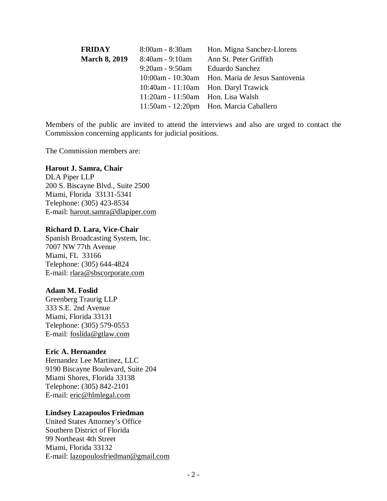| <b>FRIDAY</b>        | 8:00am - 8:30am                         | Hon. Migna Sanchez-Llorens                       |
|----------------------|-----------------------------------------|--------------------------------------------------|
| <b>March 8, 2019</b> | 8:40am - 9:10am                         | Ann St. Peter Griffith                           |
|                      | 9:20am - 9:50am                         | <b>Eduardo Sanchez</b>                           |
|                      |                                         | 10:00am - 10:30am Hon. Maria de Jesus Santovenia |
|                      |                                         | 10:40am - 11:10am Hon. Daryl Trawick             |
|                      | $11:20$ am - $11:50$ am Hon. Lisa Walsh |                                                  |
|                      |                                         | 11:50am - 12:20pm Hon. Marcia Caballero          |

Members of the public are invited to attend the interviews and also are urged to contact the Commission concerning applicants for judicial positions.

The Commission members are:

#### **Harout J. Samra, Chair**

DLA Piper LLP 200 S. Biscayne Blvd., Suite 2500 Miami, Florida 33131-5341 Telephone: (305) 423-8534 E-mail: harout.samra@dlapiper.com

#### **Richard D. Lara, Vice-Chair**

Spanish Broadcasting System, Inc. 7007 NW 77th Avenue Miami, FL 33166 Telephone: (305) 644-4824 E-mail: rlara@sbscorporate.com

#### **Adam M. Foslid**

Greenberg Traurig LLP 333 S.E. 2nd Avenue Miami, Florida 33131 Telephone: (305) 579-0553 E-mail: foslida@gtlaw.com

#### **Eric A. Hernandez**

Hernandez Lee Martinez, LLC 9190 Biscayne Boulevard, Suite 204 Miami Shores, Florida 33138 Telephone: (305) 842-2101 E-mail: eric@hlmlegal.com

#### **Lindsey Lazapoulos Friedman**

United States Attorney's Office Southern District of Florida 99 Northeast 4th Street Miami, Florida 33132 E-mail: lazopoulosfriedman@gmail.com